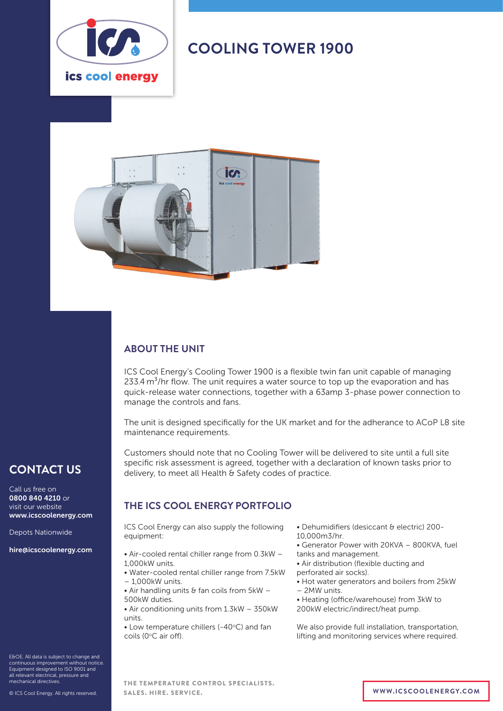

# **COOLING TOWER 1900**



### **ABOUT THE UNIT**

ICS Cool Energy's Cooling Tower 1900 is a flexible twin fan unit capable of managing 233.4  $m<sup>3</sup>/hr$  flow. The unit requires a water source to top up the evaporation and has quick-release water connections, together with a 63amp 3-phase power connection to manage the controls and fans.

The unit is designed specifically for the UK market and for the adherance to ACoP L8 site maintenance requirements.

Customers should note that no Cooling Tower will be delivered to site until a full site **CONTACT US** specific risk assessment is agreed, together with a declaration of known tasks prior to delivery, to meet all Health & Safety codes of practice.

### **THE ICS COOL ENERGY PORTFOLIO**

ICS Cool Energy can also supply the following equipment:

- Air-cooled rental chiller range from 0.3kW 1,000kW units.
- Water-cooled rental chiller range from 7.5kW – 1,000kW units.
- $\bullet$  Air handling units & fan coils from 5kW -500kW duties.
- Air conditioning units from 1.3kW 350kW units.
- $\bullet$  Low temperature chillers (-40 $\degree$ C) and fan coils (0°C air off).
- Dehumidifiers (desiccant & electric) 200- 10,000m3/hr.
- Generator Power with 20KVA 800KVA, fuel tanks and management.
- Air distribution (flexible ducting and perforated air socks).
- Hot water generators and boilers from 25kW – 2MW units.
- Heating (office/warehouse) from 3kW to 200kW electric/indirect/heat pump.

We also provide full installation, transportation, lifting and monitoring services where required.

Call us free on 0800 840 4210 or visit our website www.icscoolenergy.com

Depots Nationwide

hire@icscoolenergy.com

E&OE. All data is subject to change and continuous improvement without notice. Equipment designed to ISO 9001 and all relevant electrical, pressure and mechanical directives.

© ICS Cool Energy. All rights reserved.

THE TEMPERATURE CONTROL SPECIALISTS. SALES. HIRE. SERVICE. **WWW.ICSCOOLENERGY.COM**